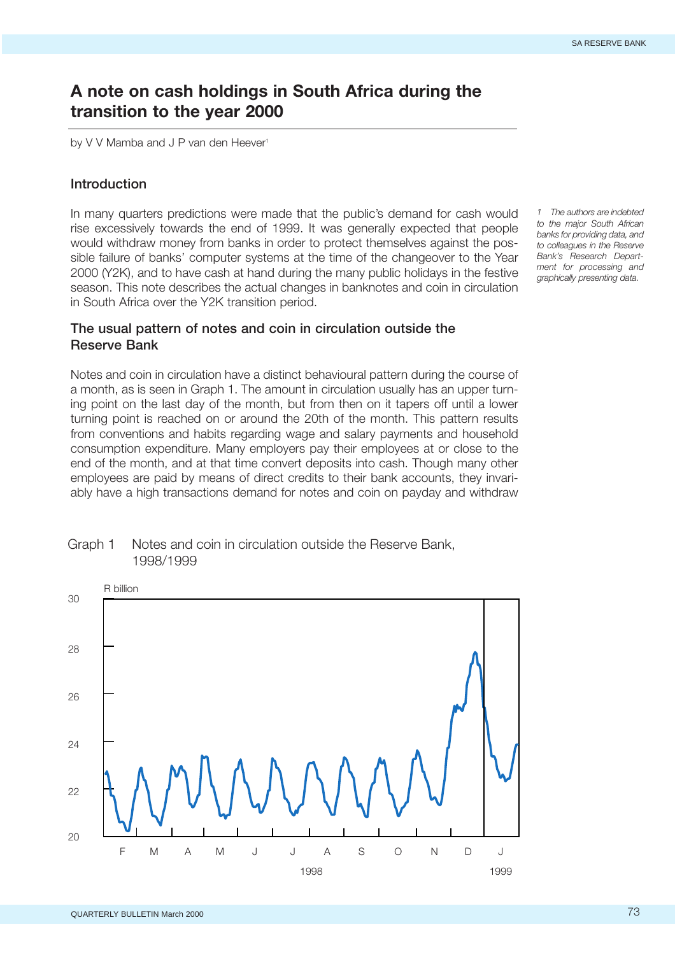# **A note on cash holdings in South Africa during the transition to the year 2000**

by V V Mamba and J P van den Heever<sup>1</sup>

### **Introduction**

In many quarters predictions were made that the public's demand for cash would rise excessively towards the end of 1999. It was generally expected that people would withdraw money from banks in order to protect themselves against the possible failure of banks' computer systems at the time of the changeover to the Year 2000 (Y2K), and to have cash at hand during the many public holidays in the festive season. This note describes the actual changes in banknotes and coin in circulation in South Africa over the Y2K transition period.

*1 The authors are indebted to the major South African banks for providing data, and to colleagues in the Reserve Bank's Research Department for processing and graphically presenting data.*

## **The usual pattern of notes and coin in circulation outside the Reserve Bank**

Notes and coin in circulation have a distinct behavioural pattern during the course of a month, as is seen in Graph 1. The amount in circulation usually has an upper turning point on the last day of the month, but from then on it tapers off until a lower turning point is reached on or around the 20th of the month. This pattern results from conventions and habits regarding wage and salary payments and household consumption expenditure. Many employers pay their employees at or close to the end of the month, and at that time convert deposits into cash. Though many other employees are paid by means of direct credits to their bank accounts, they invariably have a high transactions demand for notes and coin on payday and withdraw



## Graph 1 Notes and coin in circulation outside the Reserve Bank, 1998/1999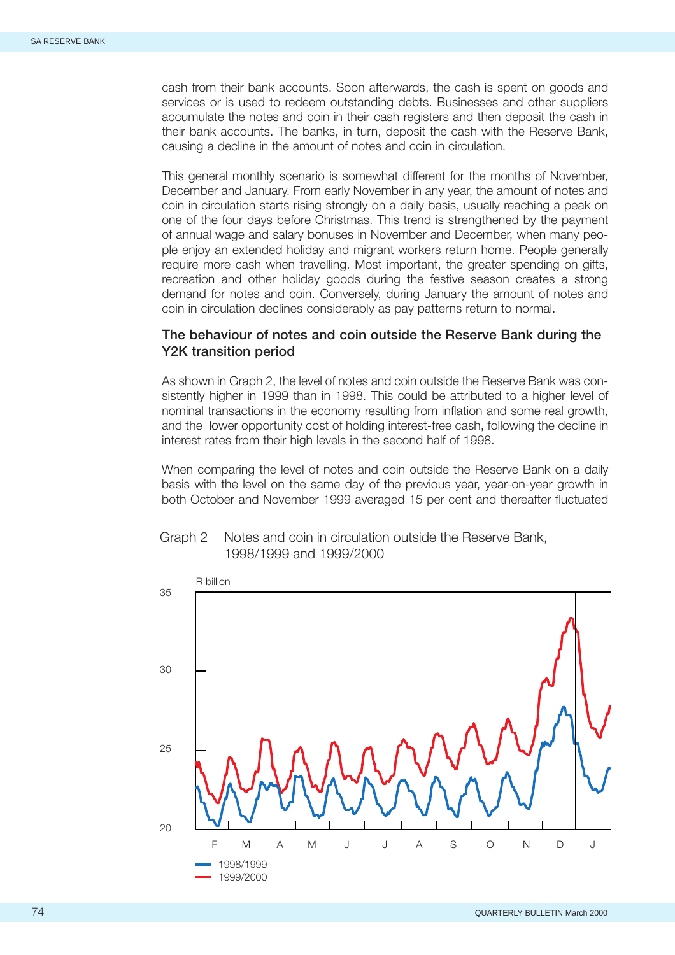cash from their bank accounts. Soon afterwards, the cash is spent on goods and services or is used to redeem outstanding debts. Businesses and other suppliers accumulate the notes and coin in their cash registers and then deposit the cash in their bank accounts. The banks, in turn, deposit the cash with the Reserve Bank, causing a decline in the amount of notes and coin in circulation.

This general monthly scenario is somewhat different for the months of November, December and January. From early November in any year, the amount of notes and coin in circulation starts rising strongly on a daily basis, usually reaching a peak on one of the four days before Christmas. This trend is strengthened by the payment of annual wage and salary bonuses in November and December, when many people enjoy an extended holiday and migrant workers return home. People generally require more cash when travelling. Most important, the greater spending on gifts, recreation and other holiday goods during the festive season creates a strong demand for notes and coin. Conversely, during January the amount of notes and coin in circulation declines considerably as pay patterns return to normal.

## **The behaviour of notes and coin outside the Reserve Bank during the Y2K transition period**

As shown in Graph 2, the level of notes and coin outside the Reserve Bank was consistently higher in 1999 than in 1998. This could be attributed to a higher level of nominal transactions in the economy resulting from inflation and some real growth, and the lower opportunity cost of holding interest-free cash, following the decline in interest rates from their high levels in the second half of 1998.

When comparing the level of notes and coin outside the Reserve Bank on a daily basis with the level on the same day of the previous year, year-on-year growth in both October and November 1999 averaged 15 per cent and thereafter fluctuated



# Graph 2 Notes and coin in circulation outside the Reserve Bank, 1998/1999 and 1999/2000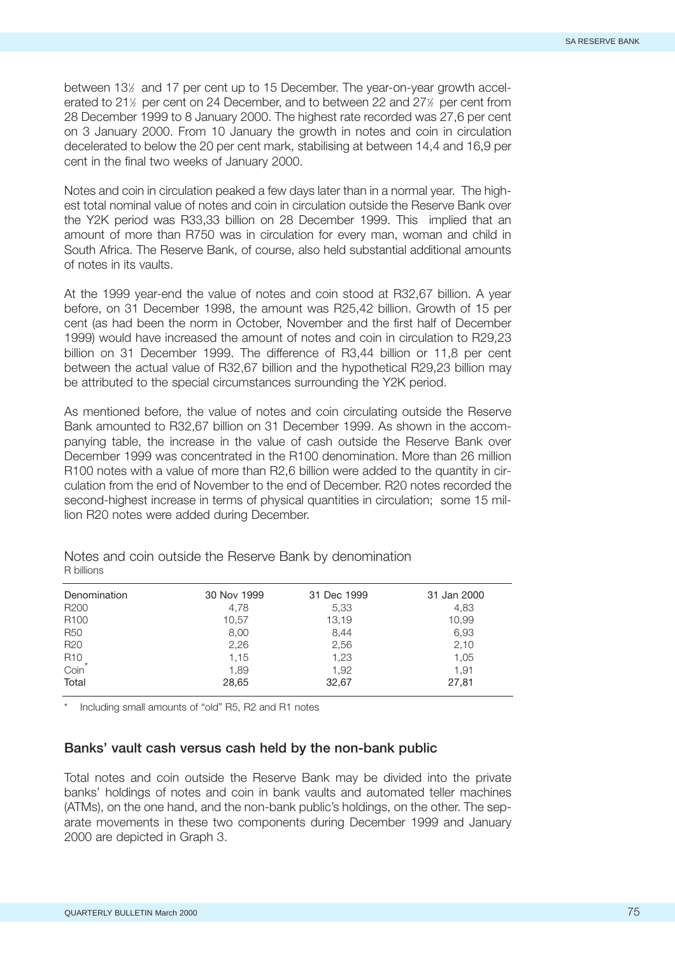between 13<sup>%</sup> and 17 per cent up to 15 December. The year-on-year growth accelerated to 21<sup>1/2</sup> per cent on 24 December, and to between 22 and 27<sup>1/2</sup> per cent from 28 December 1999 to 8 January 2000. The highest rate recorded was 27,6 per cent on 3 January 2000. From 10 January the growth in notes and coin in circulation decelerated to below the 20 per cent mark, stabilising at between 14,4 and 16,9 per cent in the final two weeks of January 2000.

Notes and coin in circulation peaked a few days later than in a normal year. The highest total nominal value of notes and coin in circulation outside the Reserve Bank over the Y2K period was R33,33 billion on 28 December 1999. This implied that an amount of more than R750 was in circulation for every man, woman and child in South Africa. The Reserve Bank, of course, also held substantial additional amounts of notes in its vaults.

At the 1999 year-end the value of notes and coin stood at R32,67 billion. A year before, on 31 December 1998, the amount was R25,42 billion. Growth of 15 per cent (as had been the norm in October, November and the first half of December 1999) would have increased the amount of notes and coin in circulation to R29,23 billion on 31 December 1999. The difference of R3,44 billion or 11,8 per cent between the actual value of R32,67 billion and the hypothetical R29,23 billion may be attributed to the special circumstances surrounding the Y2K period.

As mentioned before, the value of notes and coin circulating outside the Reserve Bank amounted to R32,67 billion on 31 December 1999. As shown in the accompanying table, the increase in the value of cash outside the Reserve Bank over December 1999 was concentrated in the R100 denomination. More than 26 million R100 notes with a value of more than R2,6 billion were added to the quantity in circulation from the end of November to the end of December. R20 notes recorded the second-highest increase in terms of physical quantities in circulation; some 15 million R20 notes were added during December.

| Denomination                 | 30 Nov 1999 | 31 Dec 1999 | 31 Jan 2000 |
|------------------------------|-------------|-------------|-------------|
| R <sub>200</sub>             | 4,78        | 5,33        | 4,83        |
| R <sub>100</sub>             | 10,57       | 13,19       | 10.99       |
| <b>R50</b>                   | 8,00        | 8,44        | 6,93        |
| R <sub>20</sub>              | 2,26        | 2,56        | 2,10        |
| R <sub>10</sub> <sup>*</sup> | 1,15        | 1,23        | 1,05        |
|                              | 1,89        | 1,92        | 1.91        |
| Total                        | 28,65       | 32,67       | 27,81       |

Notes and coin outside the Reserve Bank by denomination R billions

Including small amounts of "old" R5, R2 and R1 notes

#### **Banks' vault cash versus cash held by the non-bank public**

Total notes and coin outside the Reserve Bank may be divided into the private banks' holdings of notes and coin in bank vaults and automated teller machines (ATMs), on the one hand, and the non-bank public's holdings, on the other. The separate movements in these two components during December 1999 and January 2000 are depicted in Graph 3.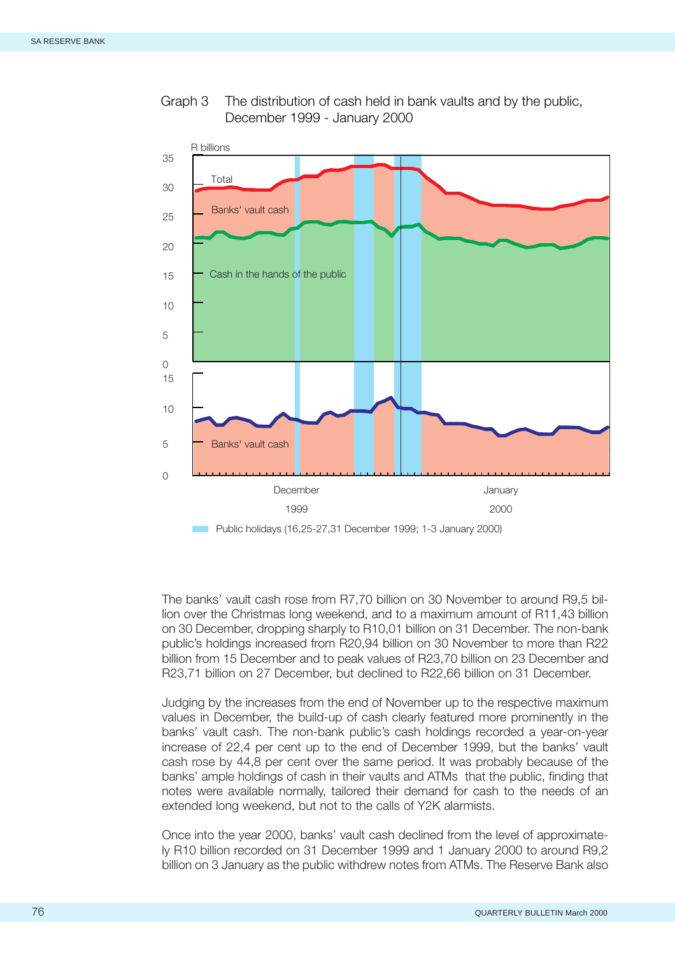

Graph 3 The distribution of cash held in bank vaults and by the public, December 1999 - January 2000

The banks' vault cash rose from R7,70 billion on 30 November to around R9,5 billion over the Christmas long weekend, and to a maximum amount of R11,43 billion on 30 December, dropping sharply to R10,01 billion on 31 December. The non-bank public's holdings increased from R20,94 billion on 30 November to more than R22 billion from 15 December and to peak values of R23,70 billion on 23 December and R23,71 billion on 27 December, but declined to R22,66 billion on 31 December.

Judging by the increases from the end of November up to the respective maximum values in December, the build-up of cash clearly featured more prominently in the banks' vault cash. The non-bank public's cash holdings recorded a year-on-year increase of 22,4 per cent up to the end of December 1999, but the banks' vault cash rose by 44,8 per cent over the same period. It was probably because of the banks' ample holdings of cash in their vaults and ATMs that the public, finding that notes were available normally, tailored their demand for cash to the needs of an extended long weekend, but not to the calls of Y2K alarmists.

Once into the year 2000, banks' vault cash declined from the level of approximately R10 billion recorded on 31 December 1999 and 1 January 2000 to around R9,2 billion on 3 January as the public withdrew notes from ATMs. The Reserve Bank also